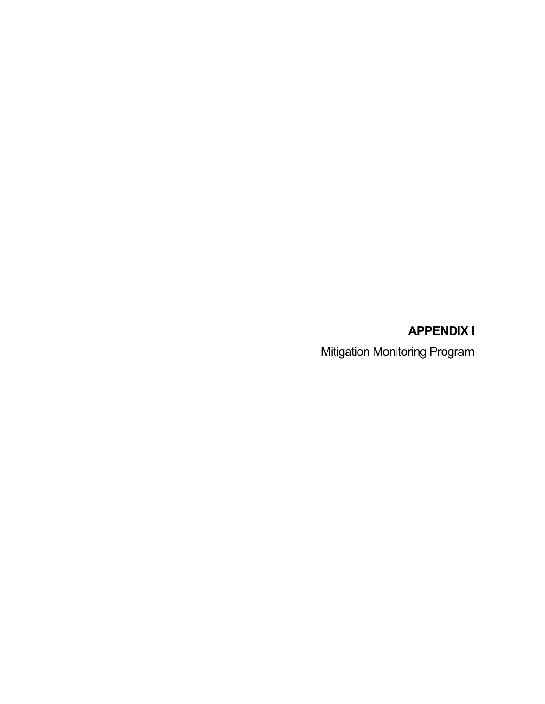# **APPENDIX I**

Mitigation Monitoring Program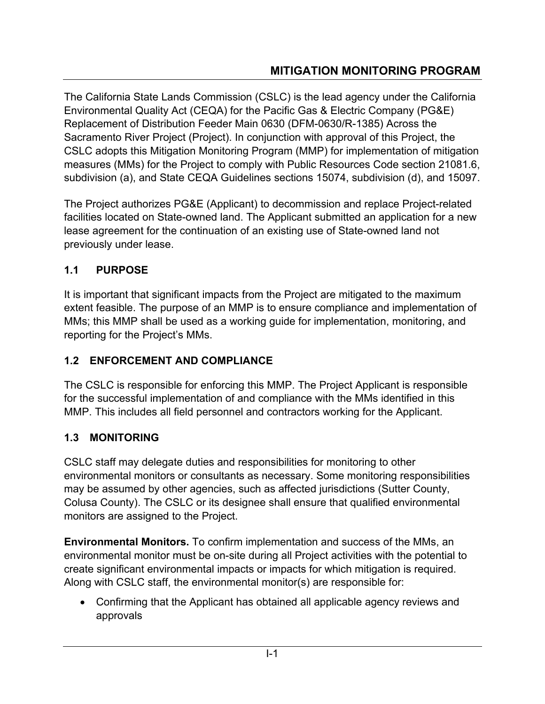The California State Lands Commission (CSLC) is the lead agency under the California Environmental Quality Act (CEQA) for the Pacific Gas & Electric Company (PG&E) Replacement of Distribution Feeder Main 0630 (DFM-0630/R-1385) Across the Sacramento River Project (Project). In conjunction with approval of this Project, the CSLC adopts this Mitigation Monitoring Program (MMP) for implementation of mitigation measures (MMs) for the Project to comply with Public Resources Code section 21081.6, subdivision (a), and State CEQA Guidelines sections 15074, subdivision (d), and 15097.

The Project authorizes PG&E (Applicant) to decommission and replace Project-related facilities located on State-owned land. The Applicant submitted an application for a new lease agreement for the continuation of an existing use of State-owned land not previously under lease.

# **1.1 PURPOSE**

It is important that significant impacts from the Project are mitigated to the maximum extent feasible. The purpose of an MMP is to ensure compliance and implementation of MMs; this MMP shall be used as a working guide for implementation, monitoring, and reporting for the Project's MMs.

# **1.2 ENFORCEMENT AND COMPLIANCE**

The CSLC is responsible for enforcing this MMP. The Project Applicant is responsible for the successful implementation of and compliance with the MMs identified in this MMP. This includes all field personnel and contractors working for the Applicant.

# **1.3 MONITORING**

CSLC staff may delegate duties and responsibilities for monitoring to other environmental monitors or consultants as necessary. Some monitoring responsibilities may be assumed by other agencies, such as affected jurisdictions (Sutter County, Colusa County). The CSLC or its designee shall ensure that qualified environmental monitors are assigned to the Project.

**Environmental Monitors.** To confirm implementation and success of the MMs, an environmental monitor must be on-site during all Project activities with the potential to create significant environmental impacts or impacts for which mitigation is required. Along with CSLC staff, the environmental monitor(s) are responsible for:

• Confirming that the Applicant has obtained all applicable agency reviews and approvals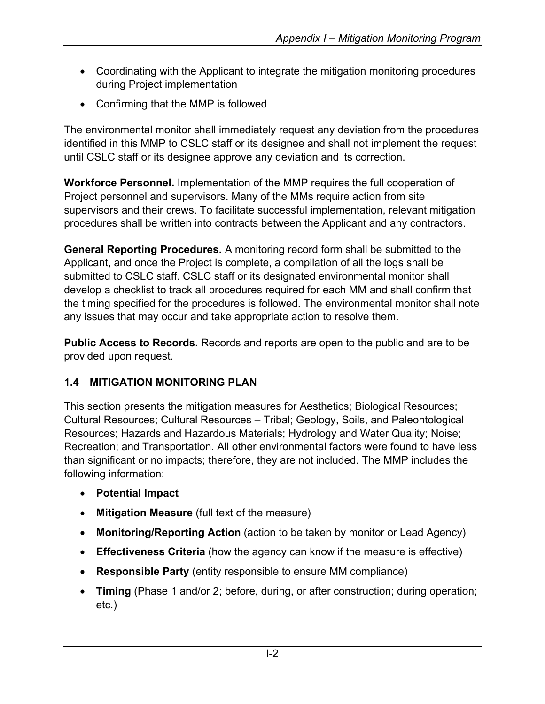- Coordinating with the Applicant to integrate the mitigation monitoring procedures during Project implementation
- Confirming that the MMP is followed

The environmental monitor shall immediately request any deviation from the procedures identified in this MMP to CSLC staff or its designee and shall not implement the request until CSLC staff or its designee approve any deviation and its correction.

**Workforce Personnel.** Implementation of the MMP requires the full cooperation of Project personnel and supervisors. Many of the MMs require action from site supervisors and their crews. To facilitate successful implementation, relevant mitigation procedures shall be written into contracts between the Applicant and any contractors.

**General Reporting Procedures.** A monitoring record form shall be submitted to the Applicant, and once the Project is complete, a compilation of all the logs shall be submitted to CSLC staff. CSLC staff or its designated environmental monitor shall develop a checklist to track all procedures required for each MM and shall confirm that the timing specified for the procedures is followed. The environmental monitor shall note any issues that may occur and take appropriate action to resolve them.

**Public Access to Records.** Records and reports are open to the public and are to be provided upon request.

## **1.4 MITIGATION MONITORING PLAN**

This section presents the mitigation measures for Aesthetics; Biological Resources; Cultural Resources; Cultural Resources – Tribal; Geology, Soils, and Paleontological Resources; Hazards and Hazardous Materials; Hydrology and Water Quality; Noise; Recreation; and Transportation. All other environmental factors were found to have less than significant or no impacts; therefore, they are not included. The MMP includes the following information:

- **Potential Impact**
- **Mitigation Measure** (full text of the measure)
- **Monitoring/Reporting Action** (action to be taken by monitor or Lead Agency)
- **Effectiveness Criteria** (how the agency can know if the measure is effective)
- **Responsible Party** (entity responsible to ensure MM compliance)
- **Timing** (Phase 1 and/or 2; before, during, or after construction; during operation; etc.)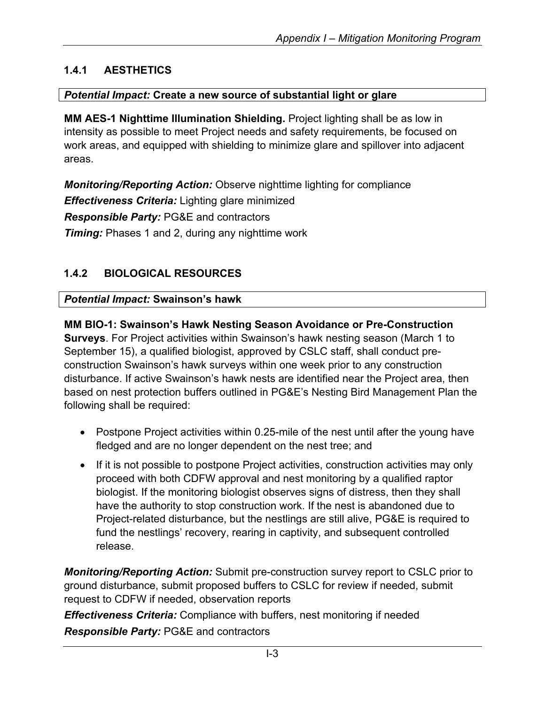# **1.4.1 AESTHETICS**

### *Potential Impact:* **Create a new source of substantial light or glare**

**MM AES-1 Nighttime Illumination Shielding.** Project lighting shall be as low in intensity as possible to meet Project needs and safety requirements, be focused on work areas, and equipped with shielding to minimize glare and spillover into adjacent areas.

*Monitoring/Reporting Action:* Observe nighttime lighting for compliance *Effectiveness Criteria:* Lighting glare minimized *Responsible Party:* PG&E and contractors **Timing:** Phases 1 and 2, during any nighttime work

# **1.4.2 BIOLOGICAL RESOURCES**

*Potential Impact:* **Swainson's hawk**

**MM BIO-1: Swainson's Hawk Nesting Season Avoidance or Pre-Construction Surveys**. For Project activities within Swainson's hawk nesting season (March 1 to September 15), a qualified biologist, approved by CSLC staff, shall conduct preconstruction Swainson's hawk surveys within one week prior to any construction disturbance. If active Swainson's hawk nests are identified near the Project area, then based on nest protection buffers outlined in PG&E's Nesting Bird Management Plan the following shall be required:

- Postpone Project activities within 0.25-mile of the nest until after the young have fledged and are no longer dependent on the nest tree; and
- If it is not possible to postpone Project activities, construction activities may only proceed with both CDFW approval and nest monitoring by a qualified raptor biologist. If the monitoring biologist observes signs of distress, then they shall have the authority to stop construction work. If the nest is abandoned due to Project-related disturbance, but the nestlings are still alive, PG&E is required to fund the nestlings' recovery, rearing in captivity, and subsequent controlled release.

*Monitoring/Reporting Action:* Submit pre-construction survey report to CSLC prior to ground disturbance, submit proposed buffers to CSLC for review if needed, submit request to CDFW if needed, observation reports

*Effectiveness Criteria:* Compliance with buffers, nest monitoring if needed *Responsible Party:* PG&E and contractors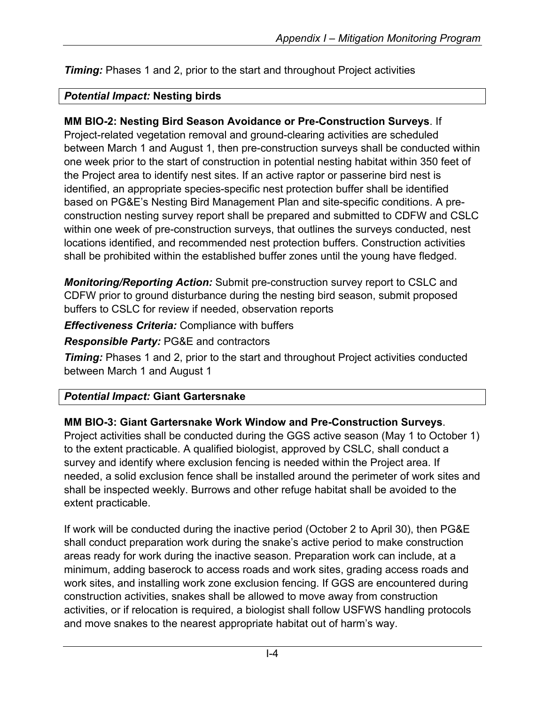*Timing:* Phases 1 and 2, prior to the start and throughout Project activities

### *Potential Impact:* **Nesting birds**

### **MM BIO-2: Nesting Bird Season Avoidance or Pre-Construction Surveys**. If

Project-related vegetation removal and ground-clearing activities are scheduled between March 1 and August 1, then pre-construction surveys shall be conducted within one week prior to the start of construction in potential nesting habitat within 350 feet of the Project area to identify nest sites. If an active raptor or passerine bird nest is identified, an appropriate species-specific nest protection buffer shall be identified based on PG&E's Nesting Bird Management Plan and site-specific conditions. A preconstruction nesting survey report shall be prepared and submitted to CDFW and CSLC within one week of pre-construction surveys, that outlines the surveys conducted, nest locations identified, and recommended nest protection buffers. Construction activities shall be prohibited within the established buffer zones until the young have fledged.

*Monitoring/Reporting Action:* Submit pre-construction survey report to CSLC and CDFW prior to ground disturbance during the nesting bird season, submit proposed buffers to CSLC for review if needed, observation reports

*Effectiveness Criteria:* Compliance with buffers

### *Responsible Party:* PG&E and contractors

*Timing:* Phases 1 and 2, prior to the start and throughout Project activities conducted between March 1 and August 1

### *Potential Impact:* **Giant Gartersnake**

### **MM BIO-3: Giant Gartersnake Work Window and Pre-Construction Surveys**.

Project activities shall be conducted during the GGS active season (May 1 to October 1) to the extent practicable. A qualified biologist, approved by CSLC, shall conduct a survey and identify where exclusion fencing is needed within the Project area. If needed, a solid exclusion fence shall be installed around the perimeter of work sites and shall be inspected weekly. Burrows and other refuge habitat shall be avoided to the extent practicable.

If work will be conducted during the inactive period (October 2 to April 30), then PG&E shall conduct preparation work during the snake's active period to make construction areas ready for work during the inactive season. Preparation work can include, at a minimum, adding baserock to access roads and work sites, grading access roads and work sites, and installing work zone exclusion fencing. If GGS are encountered during construction activities, snakes shall be allowed to move away from construction activities, or if relocation is required, a biologist shall follow USFWS handling protocols and move snakes to the nearest appropriate habitat out of harm's way.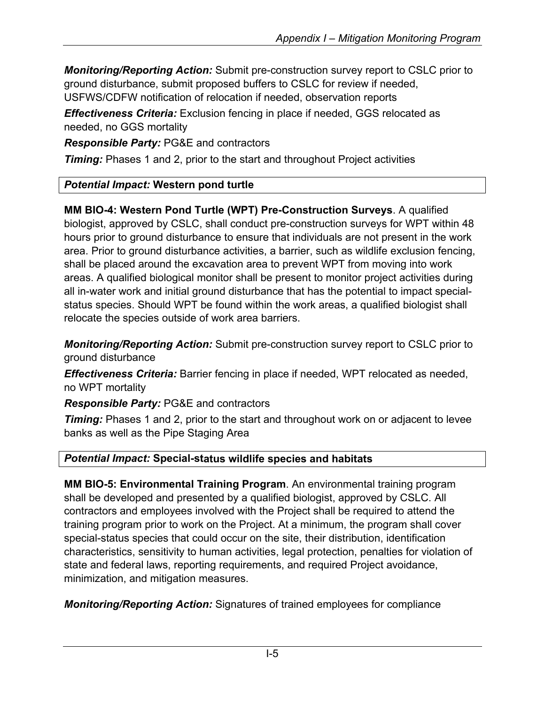*Monitoring/Reporting Action:* Submit pre-construction survey report to CSLC prior to ground disturbance, submit proposed buffers to CSLC for review if needed, USFWS/CDFW notification of relocation if needed, observation reports

*Effectiveness Criteria:* Exclusion fencing in place if needed, GGS relocated as needed, no GGS mortality

*Responsible Party:* PG&E and contractors

*Timing:* Phases 1 and 2, prior to the start and throughout Project activities

# *Potential Impact:* **Western pond turtle**

**MM BIO-4: Western Pond Turtle (WPT) Pre-Construction Surveys**. A qualified biologist, approved by CSLC, shall conduct pre-construction surveys for WPT within 48 hours prior to ground disturbance to ensure that individuals are not present in the work area. Prior to ground disturbance activities, a barrier, such as wildlife exclusion fencing, shall be placed around the excavation area to prevent WPT from moving into work areas. A qualified biological monitor shall be present to monitor project activities during all in-water work and initial ground disturbance that has the potential to impact specialstatus species. Should WPT be found within the work areas, a qualified biologist shall relocate the species outside of work area barriers.

*Monitoring/Reporting Action:* Submit pre-construction survey report to CSLC prior to ground disturbance

*Effectiveness Criteria:* Barrier fencing in place if needed, WPT relocated as needed, no WPT mortality

*Responsible Party:* PG&E and contractors

**Timing:** Phases 1 and 2, prior to the start and throughout work on or adjacent to levee banks as well as the Pipe Staging Area

# *Potential Impact:* **Special-status wildlife species and habitats**

**MM BIO-5: Environmental Training Program**. An environmental training program shall be developed and presented by a qualified biologist, approved by CSLC. All contractors and employees involved with the Project shall be required to attend the training program prior to work on the Project. At a minimum, the program shall cover special-status species that could occur on the site, their distribution, identification characteristics, sensitivity to human activities, legal protection, penalties for violation of state and federal laws, reporting requirements, and required Project avoidance, minimization, and mitigation measures.

*Monitoring/Reporting Action:* Signatures of trained employees for compliance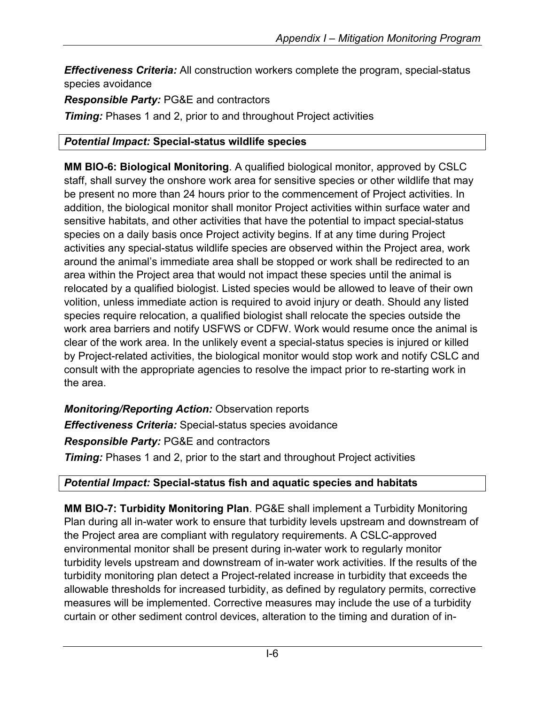*Effectiveness Criteria:* All construction workers complete the program, special-status species avoidance

*Responsible Party:* PG&E and contractors

*Timing:* Phases 1 and 2, prior to and throughout Project activities

## *Potential Impact:* **Special-status wildlife species**

**MM BIO-6: Biological Monitoring**. A qualified biological monitor, approved by CSLC staff, shall survey the onshore work area for sensitive species or other wildlife that may be present no more than 24 hours prior to the commencement of Project activities. In addition, the biological monitor shall monitor Project activities within surface water and sensitive habitats, and other activities that have the potential to impact special-status species on a daily basis once Project activity begins. If at any time during Project activities any special-status wildlife species are observed within the Project area, work around the animal's immediate area shall be stopped or work shall be redirected to an area within the Project area that would not impact these species until the animal is relocated by a qualified biologist. Listed species would be allowed to leave of their own volition, unless immediate action is required to avoid injury or death. Should any listed species require relocation, a qualified biologist shall relocate the species outside the work area barriers and notify USFWS or CDFW. Work would resume once the animal is clear of the work area. In the unlikely event a special-status species is injured or killed by Project-related activities, the biological monitor would stop work and notify CSLC and consult with the appropriate agencies to resolve the impact prior to re-starting work in the area.

*Monitoring/Reporting Action:* Observation reports *Effectiveness Criteria:* Special-status species avoidance *Responsible Party:* PG&E and contractors

*Timing:* Phases 1 and 2, prior to the start and throughout Project activities

## *Potential Impact:* **Special-status fish and aquatic species and habitats**

**MM BIO-7: Turbidity Monitoring Plan**. PG&E shall implement a Turbidity Monitoring Plan during all in-water work to ensure that turbidity levels upstream and downstream of the Project area are compliant with regulatory requirements. A CSLC-approved environmental monitor shall be present during in-water work to regularly monitor turbidity levels upstream and downstream of in-water work activities. If the results of the turbidity monitoring plan detect a Project-related increase in turbidity that exceeds the allowable thresholds for increased turbidity, as defined by regulatory permits, corrective measures will be implemented. Corrective measures may include the use of a turbidity curtain or other sediment control devices, alteration to the timing and duration of in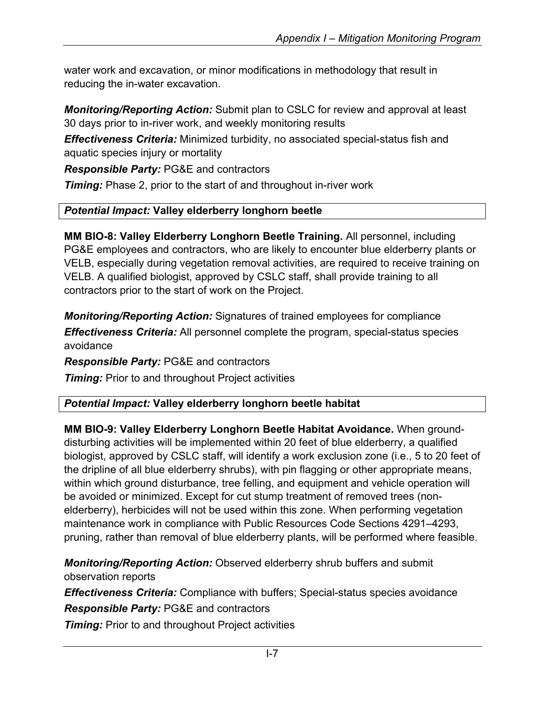water work and excavation, or minor modifications in methodology that result in reducing the in-water excavation.

*Monitoring/Reporting Action:* Submit plan to CSLC for review and approval at least 30 days prior to in-river work, and weekly monitoring results

*Effectiveness Criteria:* Minimized turbidity, no associated special-status fish and aquatic species injury or mortality

*Responsible Party:* PG&E and contractors

**Timing:** Phase 2, prior to the start of and throughout in-river work

# *Potential Impact:* **Valley elderberry longhorn beetle**

**MM BIO-8: Valley Elderberry Longhorn Beetle Training.** All personnel, including PG&E employees and contractors, who are likely to encounter blue elderberry plants or VELB, especially during vegetation removal activities, are required to receive training on VELB. A qualified biologist, approved by CSLC staff, shall provide training to all contractors prior to the start of work on the Project.

*Monitoring/Reporting Action:* Signatures of trained employees for compliance *Effectiveness Criteria:* All personnel complete the program, special-status species avoidance

*Responsible Party:* PG&E and contractors

*Timing:* Prior to and throughout Project activities

# *Potential Impact:* **Valley elderberry longhorn beetle habitat**

**MM BIO-9: Valley Elderberry Longhorn Beetle Habitat Avoidance.** When grounddisturbing activities will be implemented within 20 feet of blue elderberry, a qualified biologist, approved by CSLC staff, will identify a work exclusion zone (i.e., 5 to 20 feet of the dripline of all blue elderberry shrubs), with pin flagging or other appropriate means, within which ground disturbance, tree felling, and equipment and vehicle operation will be avoided or minimized. Except for cut stump treatment of removed trees (nonelderberry), herbicides will not be used within this zone. When performing vegetation maintenance work in compliance with Public Resources Code Sections 4291–4293, pruning, rather than removal of blue elderberry plants, will be performed where feasible.

*Monitoring/Reporting Action:* Observed elderberry shrub buffers and submit observation reports

*Effectiveness Criteria:* Compliance with buffers; Special-status species avoidance

*Responsible Party:* PG&E and contractors

**Timing:** Prior to and throughout Project activities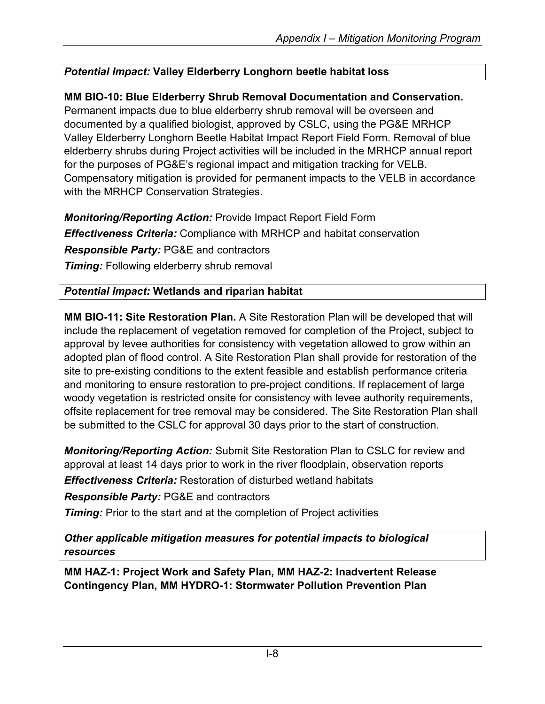## *Potential Impact:* **Valley Elderberry Longhorn beetle habitat loss**

# **MM BIO-10: Blue Elderberry Shrub Removal Documentation and Conservation.**

Permanent impacts due to blue elderberry shrub removal will be overseen and documented by a qualified biologist, approved by CSLC, using the PG&E MRHCP Valley Elderberry Longhorn Beetle Habitat Impact Report Field Form. Removal of blue elderberry shrubs during Project activities will be included in the MRHCP annual report for the purposes of PG&E's regional impact and mitigation tracking for VELB. Compensatory mitigation is provided for permanent impacts to the VELB in accordance with the MRHCP Conservation Strategies.

*Monitoring/Reporting Action:* Provide Impact Report Field Form *Effectiveness Criteria:* Compliance with MRHCP and habitat conservation *Responsible Party:* PG&E and contractors **Timing:** Following elderberry shrub removal

# *Potential Impact:* **Wetlands and riparian habitat**

**MM BIO-11: Site Restoration Plan.** A Site Restoration Plan will be developed that will include the replacement of vegetation removed for completion of the Project, subject to approval by levee authorities for consistency with vegetation allowed to grow within an adopted plan of flood control. A Site Restoration Plan shall provide for restoration of the site to pre-existing conditions to the extent feasible and establish performance criteria and monitoring to ensure restoration to pre-project conditions. If replacement of large woody vegetation is restricted onsite for consistency with levee authority requirements, offsite replacement for tree removal may be considered. The Site Restoration Plan shall be submitted to the CSLC for approval 30 days prior to the start of construction.

*Monitoring/Reporting Action:* Submit Site Restoration Plan to CSLC for review and approval at least 14 days prior to work in the river floodplain, observation reports *Effectiveness Criteria:* Restoration of disturbed wetland habitats

*Responsible Party:* PG&E and contractors

**Timing:** Prior to the start and at the completion of Project activities

*Other applicable mitigation measures for potential impacts to biological resources*

**MM HAZ-1: Project Work and Safety Plan, MM HAZ-2: Inadvertent Release Contingency Plan, MM HYDRO-1: Stormwater Pollution Prevention Plan**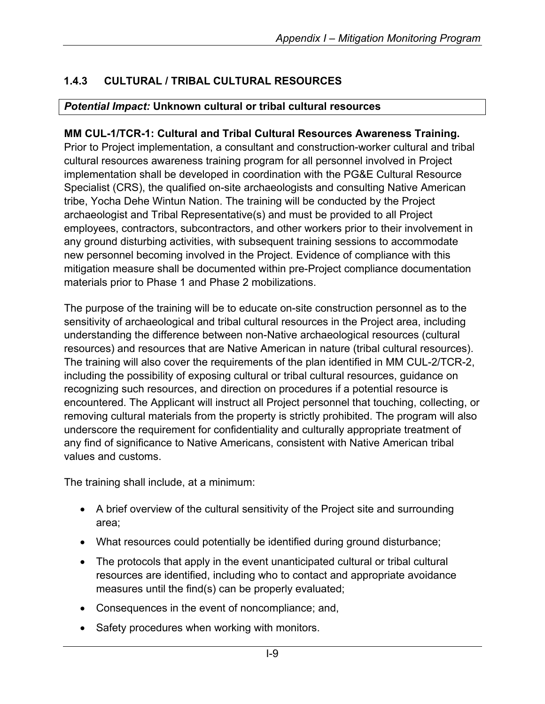# **1.4.3 CULTURAL / TRIBAL CULTURAL RESOURCES**

### *Potential Impact:* **Unknown cultural or tribal cultural resources**

### **MM CUL-1/TCR-1: Cultural and Tribal Cultural Resources Awareness Training.**

Prior to Project implementation, a consultant and construction-worker cultural and tribal cultural resources awareness training program for all personnel involved in Project implementation shall be developed in coordination with the PG&E Cultural Resource Specialist (CRS), the qualified on-site archaeologists and consulting Native American tribe, Yocha Dehe Wintun Nation. The training will be conducted by the Project archaeologist and Tribal Representative(s) and must be provided to all Project employees, contractors, subcontractors, and other workers prior to their involvement in any ground disturbing activities, with subsequent training sessions to accommodate new personnel becoming involved in the Project. Evidence of compliance with this mitigation measure shall be documented within pre-Project compliance documentation materials prior to Phase 1 and Phase 2 mobilizations.

The purpose of the training will be to educate on-site construction personnel as to the sensitivity of archaeological and tribal cultural resources in the Project area, including understanding the difference between non-Native archaeological resources (cultural resources) and resources that are Native American in nature (tribal cultural resources). The training will also cover the requirements of the plan identified in MM CUL-2/TCR-2, including the possibility of exposing cultural or tribal cultural resources, guidance on recognizing such resources, and direction on procedures if a potential resource is encountered. The Applicant will instruct all Project personnel that touching, collecting, or removing cultural materials from the property is strictly prohibited. The program will also underscore the requirement for confidentiality and culturally appropriate treatment of any find of significance to Native Americans, consistent with Native American tribal values and customs.

The training shall include, at a minimum:

- A brief overview of the cultural sensitivity of the Project site and surrounding area;
- What resources could potentially be identified during ground disturbance;
- The protocols that apply in the event unanticipated cultural or tribal cultural resources are identified, including who to contact and appropriate avoidance measures until the find(s) can be properly evaluated;
- Consequences in the event of noncompliance; and,
- Safety procedures when working with monitors.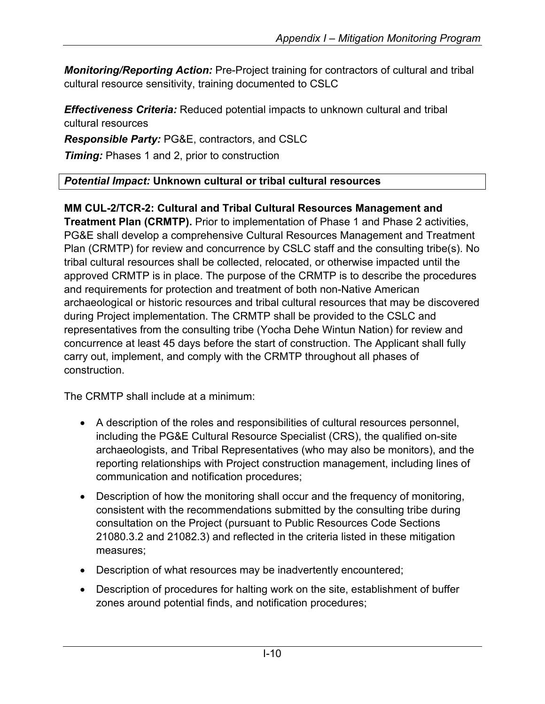*Monitoring/Reporting Action:* Pre-Project training for contractors of cultural and tribal cultural resource sensitivity, training documented to CSLC

*Effectiveness Criteria:* Reduced potential impacts to unknown cultural and tribal cultural resources

*Responsible Party:* PG&E, contractors, and CSLC

*Timing:* Phases 1 and 2, prior to construction

# *Potential Impact:* **Unknown cultural or tribal cultural resources**

#### **MM CUL-2/TCR-2: Cultural and Tribal Cultural Resources Management and Treatment Plan (CRMTP).** Prior to implementation of Phase 1 and Phase 2 activities,

PG&E shall develop a comprehensive Cultural Resources Management and Treatment Plan (CRMTP) for review and concurrence by CSLC staff and the consulting tribe(s). No tribal cultural resources shall be collected, relocated, or otherwise impacted until the approved CRMTP is in place. The purpose of the CRMTP is to describe the procedures and requirements for protection and treatment of both non-Native American archaeological or historic resources and tribal cultural resources that may be discovered during Project implementation. The CRMTP shall be provided to the CSLC and representatives from the consulting tribe (Yocha Dehe Wintun Nation) for review and concurrence at least 45 days before the start of construction. The Applicant shall fully carry out, implement, and comply with the CRMTP throughout all phases of construction.

The CRMTP shall include at a minimum:

- A description of the roles and responsibilities of cultural resources personnel, including the PG&E Cultural Resource Specialist (CRS), the qualified on-site archaeologists, and Tribal Representatives (who may also be monitors), and the reporting relationships with Project construction management, including lines of communication and notification procedures;
- Description of how the monitoring shall occur and the frequency of monitoring, consistent with the recommendations submitted by the consulting tribe during consultation on the Project (pursuant to Public Resources Code Sections 21080.3.2 and 21082.3) and reflected in the criteria listed in these mitigation measures;
- Description of what resources may be inadvertently encountered;
- Description of procedures for halting work on the site, establishment of buffer zones around potential finds, and notification procedures;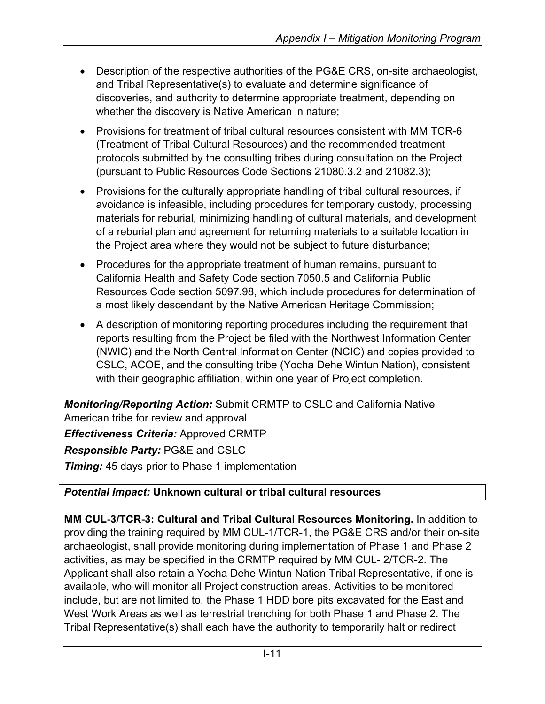- Description of the respective authorities of the PG&E CRS, on-site archaeologist, and Tribal Representative(s) to evaluate and determine significance of discoveries, and authority to determine appropriate treatment, depending on whether the discovery is Native American in nature;
- Provisions for treatment of tribal cultural resources consistent with MM TCR-6 (Treatment of Tribal Cultural Resources) and the recommended treatment protocols submitted by the consulting tribes during consultation on the Project (pursuant to Public Resources Code Sections 21080.3.2 and 21082.3);
- Provisions for the culturally appropriate handling of tribal cultural resources, if avoidance is infeasible, including procedures for temporary custody, processing materials for reburial, minimizing handling of cultural materials, and development of a reburial plan and agreement for returning materials to a suitable location in the Project area where they would not be subject to future disturbance;
- Procedures for the appropriate treatment of human remains, pursuant to California Health and Safety Code section 7050.5 and California Public Resources Code section 5097.98, which include procedures for determination of a most likely descendant by the Native American Heritage Commission;
- A description of monitoring reporting procedures including the requirement that reports resulting from the Project be filed with the Northwest Information Center (NWIC) and the North Central Information Center (NCIC) and copies provided to CSLC, ACOE, and the consulting tribe (Yocha Dehe Wintun Nation), consistent with their geographic affiliation, within one year of Project completion.

*Monitoring/Reporting Action:* Submit CRMTP to CSLC and California Native American tribe for review and approval *Effectiveness Criteria:* Approved CRMTP *Responsible Party:* PG&E and CSLC **Timing:** 45 days prior to Phase 1 implementation

## *Potential Impact:* **Unknown cultural or tribal cultural resources**

**MM CUL-3/TCR-3: Cultural and Tribal Cultural Resources Monitoring.** In addition to providing the training required by MM CUL-1/TCR-1, the PG&E CRS and/or their on-site archaeologist, shall provide monitoring during implementation of Phase 1 and Phase 2 activities, as may be specified in the CRMTP required by MM CUL- 2/TCR-2. The Applicant shall also retain a Yocha Dehe Wintun Nation Tribal Representative, if one is available, who will monitor all Project construction areas. Activities to be monitored include, but are not limited to, the Phase 1 HDD bore pits excavated for the East and West Work Areas as well as terrestrial trenching for both Phase 1 and Phase 2. The Tribal Representative(s) shall each have the authority to temporarily halt or redirect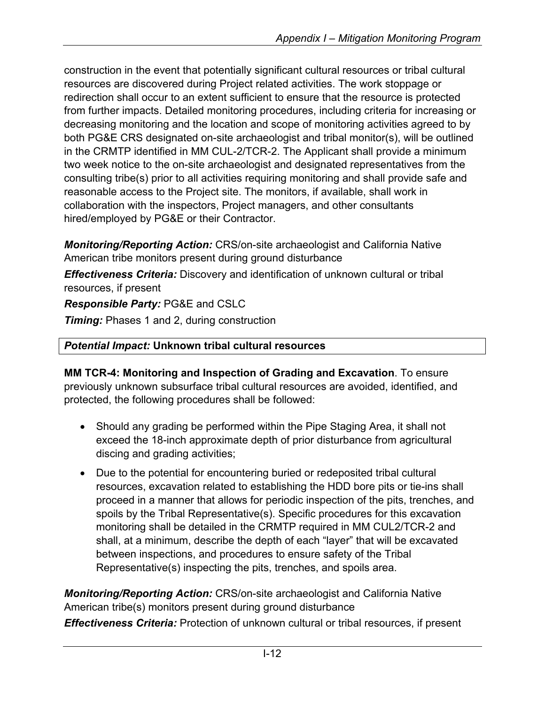construction in the event that potentially significant cultural resources or tribal cultural resources are discovered during Project related activities. The work stoppage or redirection shall occur to an extent sufficient to ensure that the resource is protected from further impacts. Detailed monitoring procedures, including criteria for increasing or decreasing monitoring and the location and scope of monitoring activities agreed to by both PG&E CRS designated on-site archaeologist and tribal monitor(s), will be outlined in the CRMTP identified in MM CUL-2/TCR-2. The Applicant shall provide a minimum two week notice to the on-site archaeologist and designated representatives from the consulting tribe(s) prior to all activities requiring monitoring and shall provide safe and reasonable access to the Project site. The monitors, if available, shall work in collaboration with the inspectors, Project managers, and other consultants hired/employed by PG&E or their Contractor.

*Monitoring/Reporting Action:* CRS/on-site archaeologist and California Native American tribe monitors present during ground disturbance

*Effectiveness Criteria:* Discovery and identification of unknown cultural or tribal resources, if present

*Responsible Party:* PG&E and CSLC

*Timing:* Phases 1 and 2, during construction

### *Potential Impact:* **Unknown tribal cultural resources**

**MM TCR-4: Monitoring and Inspection of Grading and Excavation**. To ensure previously unknown subsurface tribal cultural resources are avoided, identified, and protected, the following procedures shall be followed:

- Should any grading be performed within the Pipe Staging Area, it shall not exceed the 18-inch approximate depth of prior disturbance from agricultural discing and grading activities;
- Due to the potential for encountering buried or redeposited tribal cultural resources, excavation related to establishing the HDD bore pits or tie-ins shall proceed in a manner that allows for periodic inspection of the pits, trenches, and spoils by the Tribal Representative(s). Specific procedures for this excavation monitoring shall be detailed in the CRMTP required in MM CUL2/TCR-2 and shall, at a minimum, describe the depth of each "layer" that will be excavated between inspections, and procedures to ensure safety of the Tribal Representative(s) inspecting the pits, trenches, and spoils area.

*Monitoring/Reporting Action:* CRS/on-site archaeologist and California Native American tribe(s) monitors present during ground disturbance

*Effectiveness Criteria:* Protection of unknown cultural or tribal resources, if present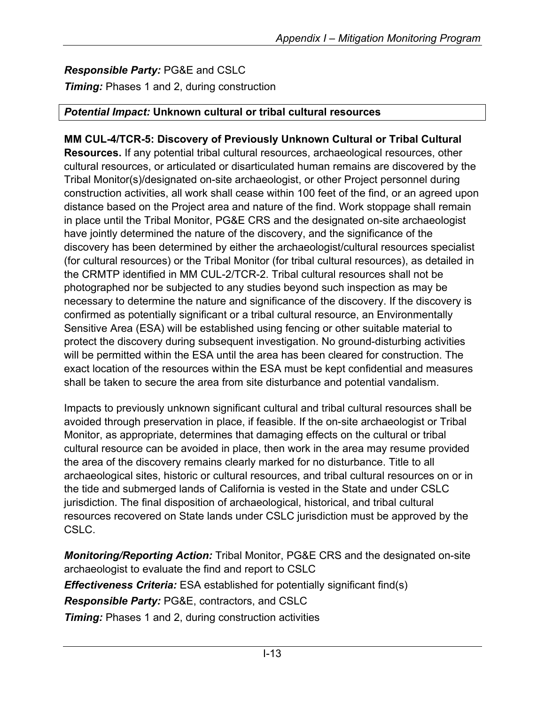# *Responsible Party:* PG&E and CSLC

*Timing:* Phases 1 and 2, during construction

### *Potential Impact:* **Unknown cultural or tribal cultural resources**

# **MM CUL-4/TCR-5: Discovery of Previously Unknown Cultural or Tribal Cultural**

**Resources.** If any potential tribal cultural resources, archaeological resources, other cultural resources, or articulated or disarticulated human remains are discovered by the Tribal Monitor(s)/designated on-site archaeologist, or other Project personnel during construction activities, all work shall cease within 100 feet of the find, or an agreed upon distance based on the Project area and nature of the find. Work stoppage shall remain in place until the Tribal Monitor, PG&E CRS and the designated on-site archaeologist have jointly determined the nature of the discovery, and the significance of the discovery has been determined by either the archaeologist/cultural resources specialist (for cultural resources) or the Tribal Monitor (for tribal cultural resources), as detailed in the CRMTP identified in MM CUL-2/TCR-2. Tribal cultural resources shall not be photographed nor be subjected to any studies beyond such inspection as may be necessary to determine the nature and significance of the discovery. If the discovery is confirmed as potentially significant or a tribal cultural resource, an Environmentally Sensitive Area (ESA) will be established using fencing or other suitable material to protect the discovery during subsequent investigation. No ground-disturbing activities will be permitted within the ESA until the area has been cleared for construction. The exact location of the resources within the ESA must be kept confidential and measures shall be taken to secure the area from site disturbance and potential vandalism.

Impacts to previously unknown significant cultural and tribal cultural resources shall be avoided through preservation in place, if feasible. If the on-site archaeologist or Tribal Monitor, as appropriate, determines that damaging effects on the cultural or tribal cultural resource can be avoided in place, then work in the area may resume provided the area of the discovery remains clearly marked for no disturbance. Title to all archaeological sites, historic or cultural resources, and tribal cultural resources on or in the tide and submerged lands of California is vested in the State and under CSLC jurisdiction. The final disposition of archaeological, historical, and tribal cultural resources recovered on State lands under CSLC jurisdiction must be approved by the CSLC.

*Monitoring/Reporting Action:* Tribal Monitor, PG&E CRS and the designated on-site archaeologist to evaluate the find and report to CSLC *Effectiveness Criteria:* ESA established for potentially significant find(s)

*Responsible Party:* PG&E, contractors, and CSLC

*Timing:* Phases 1 and 2, during construction activities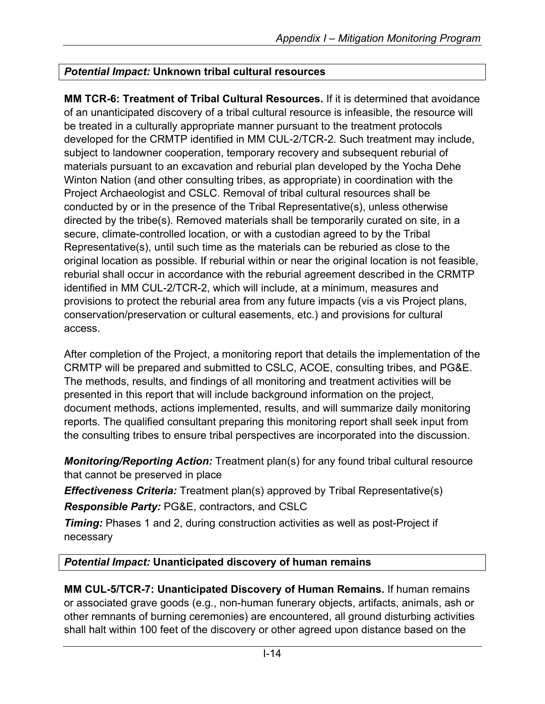### *Potential Impact:* **Unknown tribal cultural resources**

**MM TCR-6: Treatment of Tribal Cultural Resources.** If it is determined that avoidance of an unanticipated discovery of a tribal cultural resource is infeasible, the resource will be treated in a culturally appropriate manner pursuant to the treatment protocols developed for the CRMTP identified in MM CUL-2/TCR-2. Such treatment may include, subject to landowner cooperation, temporary recovery and subsequent reburial of materials pursuant to an excavation and reburial plan developed by the Yocha Dehe Winton Nation (and other consulting tribes, as appropriate) in coordination with the Project Archaeologist and CSLC. Removal of tribal cultural resources shall be conducted by or in the presence of the Tribal Representative(s), unless otherwise directed by the tribe(s). Removed materials shall be temporarily curated on site, in a secure, climate-controlled location, or with a custodian agreed to by the Tribal Representative(s), until such time as the materials can be reburied as close to the original location as possible. If reburial within or near the original location is not feasible, reburial shall occur in accordance with the reburial agreement described in the CRMTP identified in MM CUL-2/TCR-2, which will include, at a minimum, measures and provisions to protect the reburial area from any future impacts (vis a vis Project plans, conservation/preservation or cultural easements, etc.) and provisions for cultural access.

After completion of the Project, a monitoring report that details the implementation of the CRMTP will be prepared and submitted to CSLC, ACOE, consulting tribes, and PG&E. The methods, results, and findings of all monitoring and treatment activities will be presented in this report that will include background information on the project, document methods, actions implemented, results, and will summarize daily monitoring reports. The qualified consultant preparing this monitoring report shall seek input from the consulting tribes to ensure tribal perspectives are incorporated into the discussion.

*Monitoring/Reporting Action:* Treatment plan(s) for any found tribal cultural resource that cannot be preserved in place

*Effectiveness Criteria:* Treatment plan(s) approved by Tribal Representative(s)

*Responsible Party:* PG&E, contractors, and CSLC

**Timing:** Phases 1 and 2, during construction activities as well as post-Project if necessary

### *Potential Impact:* **Unanticipated discovery of human remains**

**MM CUL-5/TCR-7: Unanticipated Discovery of Human Remains.** If human remains or associated grave goods (e.g., non-human funerary objects, artifacts, animals, ash or other remnants of burning ceremonies) are encountered, all ground disturbing activities shall halt within 100 feet of the discovery or other agreed upon distance based on the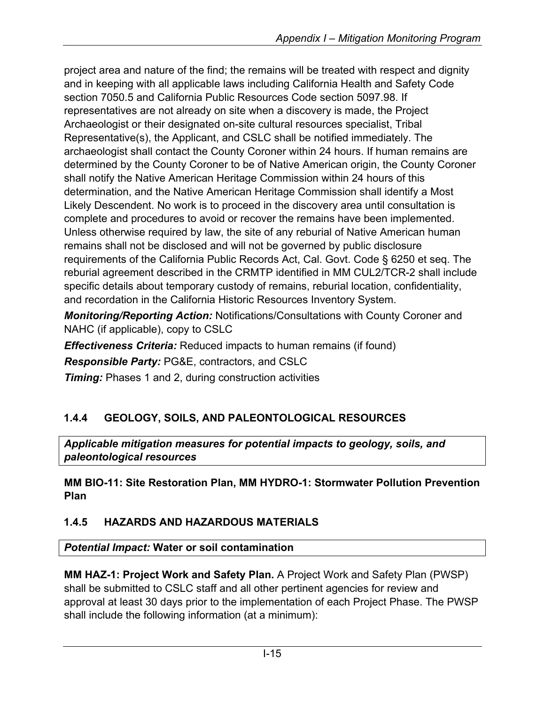project area and nature of the find; the remains will be treated with respect and dignity and in keeping with all applicable laws including California Health and Safety Code section 7050.5 and California Public Resources Code section 5097.98. If representatives are not already on site when a discovery is made, the Project Archaeologist or their designated on-site cultural resources specialist, Tribal Representative(s), the Applicant, and CSLC shall be notified immediately. The archaeologist shall contact the County Coroner within 24 hours. If human remains are determined by the County Coroner to be of Native American origin, the County Coroner shall notify the Native American Heritage Commission within 24 hours of this determination, and the Native American Heritage Commission shall identify a Most Likely Descendent. No work is to proceed in the discovery area until consultation is complete and procedures to avoid or recover the remains have been implemented. Unless otherwise required by law, the site of any reburial of Native American human remains shall not be disclosed and will not be governed by public disclosure requirements of the California Public Records Act, Cal. Govt. Code § 6250 et seq. The reburial agreement described in the CRMTP identified in MM CUL2/TCR-2 shall include specific details about temporary custody of remains, reburial location, confidentiality, and recordation in the California Historic Resources Inventory System.

*Monitoring/Reporting Action:* Notifications/Consultations with County Coroner and NAHC (if applicable), copy to CSLC

*Effectiveness Criteria:* Reduced impacts to human remains (if found)

*Responsible Party:* PG&E, contractors, and CSLC

*Timing:* Phases 1 and 2, during construction activities

# **1.4.4 GEOLOGY, SOILS, AND PALEONTOLOGICAL RESOURCES**

*Applicable mitigation measures for potential impacts to geology, soils, and paleontological resources*

**MM BIO-11: Site Restoration Plan, MM HYDRO-1: Stormwater Pollution Prevention Plan**

# **1.4.5 HAZARDS AND HAZARDOUS MATERIALS**

*Potential Impact:* **Water or soil contamination**

**MM HAZ-1: Project Work and Safety Plan.** A Project Work and Safety Plan (PWSP) shall be submitted to CSLC staff and all other pertinent agencies for review and approval at least 30 days prior to the implementation of each Project Phase. The PWSP shall include the following information (at a minimum):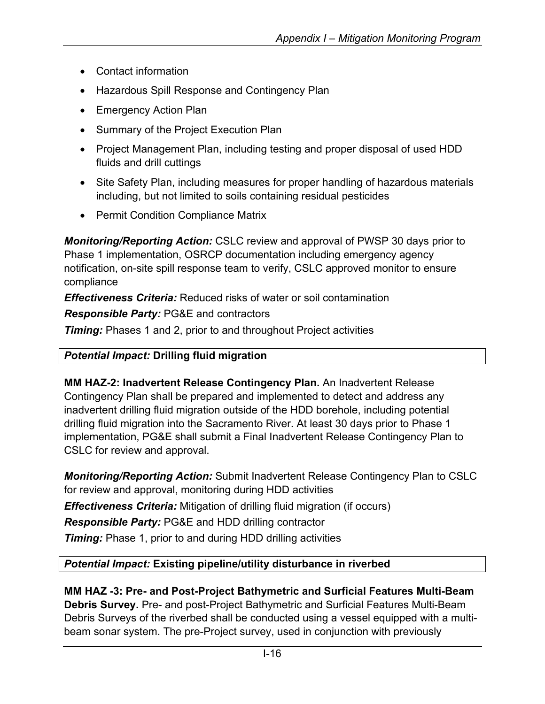- Contact information
- Hazardous Spill Response and Contingency Plan
- Emergency Action Plan
- Summary of the Project Execution Plan
- Project Management Plan, including testing and proper disposal of used HDD fluids and drill cuttings
- Site Safety Plan, including measures for proper handling of hazardous materials including, but not limited to soils containing residual pesticides
- Permit Condition Compliance Matrix

*Monitoring/Reporting Action:* CSLC review and approval of PWSP 30 days prior to Phase 1 implementation, OSRCP documentation including emergency agency notification, on-site spill response team to verify, CSLC approved monitor to ensure compliance

*Effectiveness Criteria:* Reduced risks of water or soil contamination

*Responsible Party:* PG&E and contractors

*Timing:* Phases 1 and 2, prior to and throughout Project activities

## *Potential Impact:* **Drilling fluid migration**

**MM HAZ-2: Inadvertent Release Contingency Plan.** An Inadvertent Release Contingency Plan shall be prepared and implemented to detect and address any inadvertent drilling fluid migration outside of the HDD borehole, including potential drilling fluid migration into the Sacramento River. At least 30 days prior to Phase 1 implementation, PG&E shall submit a Final Inadvertent Release Contingency Plan to CSLC for review and approval.

*Monitoring/Reporting Action:* Submit Inadvertent Release Contingency Plan to CSLC for review and approval, monitoring during HDD activities

*Effectiveness Criteria:* Mitigation of drilling fluid migration (if occurs)

*Responsible Party:* PG&E and HDD drilling contractor

*Timing:* Phase 1, prior to and during HDD drilling activities

## *Potential Impact:* **Existing pipeline/utility disturbance in riverbed**

**MM HAZ -3: Pre- and Post-Project Bathymetric and Surficial Features Multi-Beam Debris Survey.** Pre- and post-Project Bathymetric and Surficial Features Multi-Beam Debris Surveys of the riverbed shall be conducted using a vessel equipped with a multibeam sonar system. The pre-Project survey, used in conjunction with previously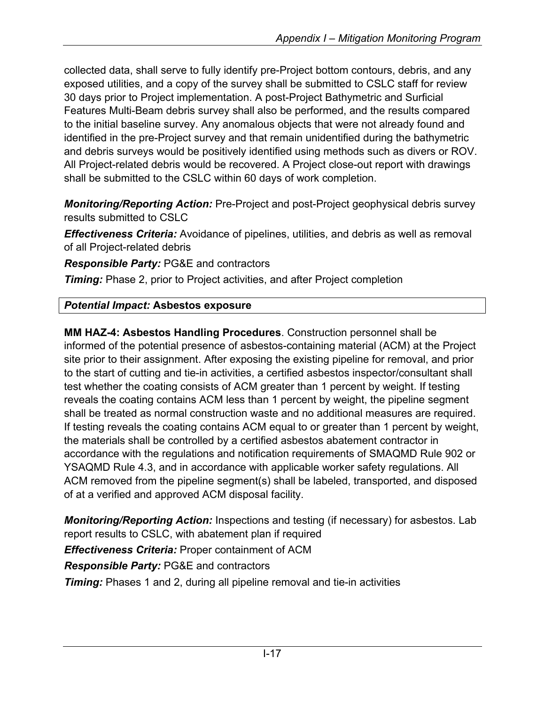collected data, shall serve to fully identify pre-Project bottom contours, debris, and any exposed utilities, and a copy of the survey shall be submitted to CSLC staff for review 30 days prior to Project implementation. A post-Project Bathymetric and Surficial Features Multi-Beam debris survey shall also be performed, and the results compared to the initial baseline survey. Any anomalous objects that were not already found and identified in the pre-Project survey and that remain unidentified during the bathymetric and debris surveys would be positively identified using methods such as divers or ROV. All Project-related debris would be recovered. A Project close-out report with drawings shall be submitted to the CSLC within 60 days of work completion.

*Monitoring/Reporting Action:* Pre-Project and post-Project geophysical debris survey results submitted to CSLC

*Effectiveness Criteria:* Avoidance of pipelines, utilities, and debris as well as removal of all Project-related debris

*Responsible Party:* PG&E and contractors

*Timing:* Phase 2, prior to Project activities, and after Project completion

# *Potential Impact:* **Asbestos exposure**

**MM HAZ-4: Asbestos Handling Procedures**. Construction personnel shall be informed of the potential presence of asbestos-containing material (ACM) at the Project site prior to their assignment. After exposing the existing pipeline for removal, and prior to the start of cutting and tie-in activities, a certified asbestos inspector/consultant shall test whether the coating consists of ACM greater than 1 percent by weight. If testing reveals the coating contains ACM less than 1 percent by weight, the pipeline segment shall be treated as normal construction waste and no additional measures are required. If testing reveals the coating contains ACM equal to or greater than 1 percent by weight, the materials shall be controlled by a certified asbestos abatement contractor in accordance with the regulations and notification requirements of SMAQMD Rule 902 or YSAQMD Rule 4.3, and in accordance with applicable worker safety regulations. All ACM removed from the pipeline segment(s) shall be labeled, transported, and disposed of at a verified and approved ACM disposal facility.

*Monitoring/Reporting Action:* Inspections and testing (if necessary) for asbestos. Lab report results to CSLC, with abatement plan if required

*Effectiveness Criteria:* Proper containment of ACM

*Responsible Party:* PG&E and contractors

*Timing:* Phases 1 and 2, during all pipeline removal and tie-in activities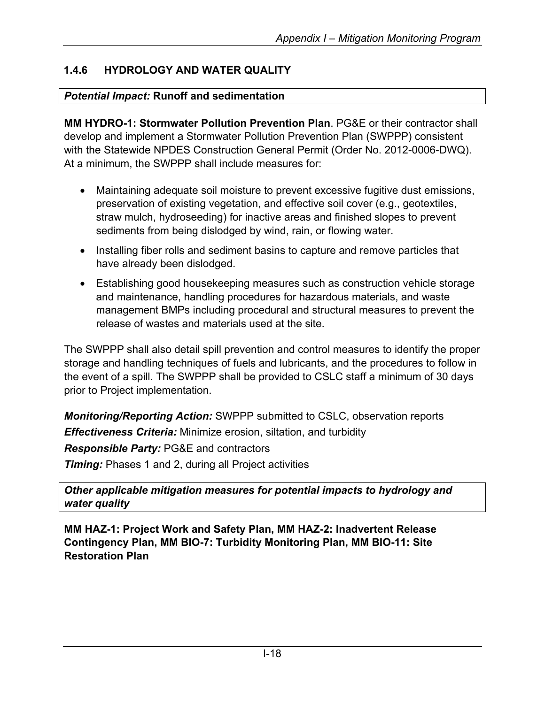## **1.4.6 HYDROLOGY AND WATER QUALITY**

### *Potential Impact:* **Runoff and sedimentation**

**MM HYDRO-1: Stormwater Pollution Prevention Plan**. PG&E or their contractor shall develop and implement a Stormwater Pollution Prevention Plan (SWPPP) consistent with the Statewide NPDES Construction General Permit (Order No. 2012-0006-DWQ). At a minimum, the SWPPP shall include measures for:

- Maintaining adequate soil moisture to prevent excessive fugitive dust emissions, preservation of existing vegetation, and effective soil cover (e.g., geotextiles, straw mulch, hydroseeding) for inactive areas and finished slopes to prevent sediments from being dislodged by wind, rain, or flowing water.
- Installing fiber rolls and sediment basins to capture and remove particles that have already been dislodged.
- Establishing good housekeeping measures such as construction vehicle storage and maintenance, handling procedures for hazardous materials, and waste management BMPs including procedural and structural measures to prevent the release of wastes and materials used at the site.

The SWPPP shall also detail spill prevention and control measures to identify the proper storage and handling techniques of fuels and lubricants, and the procedures to follow in the event of a spill. The SWPPP shall be provided to CSLC staff a minimum of 30 days prior to Project implementation.

*Monitoring/Reporting Action:* SWPPP submitted to CSLC, observation reports *Effectiveness Criteria:* Minimize erosion, siltation, and turbidity *Responsible Party:* PG&E and contractors *Timing:* Phases 1 and 2, during all Project activities

*Other applicable mitigation measures for potential impacts to hydrology and water quality*

**MM HAZ-1: Project Work and Safety Plan, MM HAZ-2: Inadvertent Release Contingency Plan, MM BIO-7: Turbidity Monitoring Plan, MM BIO-11: Site Restoration Plan**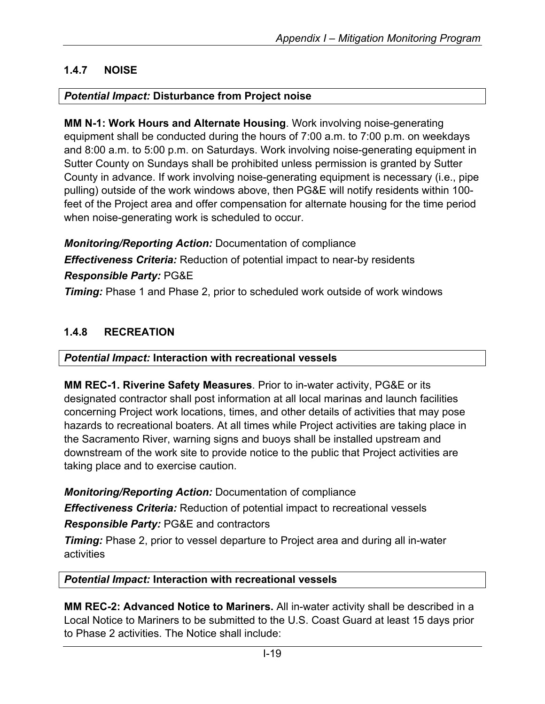## **1.4.7 NOISE**

### *Potential Impact:* **Disturbance from Project noise**

**MM N-1: Work Hours and Alternate Housing**. Work involving noise-generating equipment shall be conducted during the hours of 7:00 a.m. to 7:00 p.m. on weekdays and 8:00 a.m. to 5:00 p.m. on Saturdays. Work involving noise-generating equipment in Sutter County on Sundays shall be prohibited unless permission is granted by Sutter County in advance. If work involving noise-generating equipment is necessary (i.e., pipe pulling) outside of the work windows above, then PG&E will notify residents within 100 feet of the Project area and offer compensation for alternate housing for the time period when noise-generating work is scheduled to occur.

*Monitoring/Reporting Action:* Documentation of compliance *Effectiveness Criteria:* Reduction of potential impact to near-by residents *Responsible Party:* PG&E **Timing:** Phase 1 and Phase 2, prior to scheduled work outside of work windows

### **1.4.8 RECREATION**

### *Potential Impact:* **Interaction with recreational vessels**

**MM REC-1. Riverine Safety Measures**. Prior to in-water activity, PG&E or its designated contractor shall post information at all local marinas and launch facilities concerning Project work locations, times, and other details of activities that may pose hazards to recreational boaters. At all times while Project activities are taking place in the Sacramento River, warning signs and buoys shall be installed upstream and downstream of the work site to provide notice to the public that Project activities are taking place and to exercise caution.

*Monitoring/Reporting Action:* Documentation of compliance

*Effectiveness Criteria:* Reduction of potential impact to recreational vessels

*Responsible Party:* PG&E and contractors

*Timing:* Phase 2, prior to vessel departure to Project area and during all in-water activities

### *Potential Impact:* **Interaction with recreational vessels**

**MM REC-2: Advanced Notice to Mariners.** All in-water activity shall be described in a Local Notice to Mariners to be submitted to the U.S. Coast Guard at least 15 days prior to Phase 2 activities. The Notice shall include: